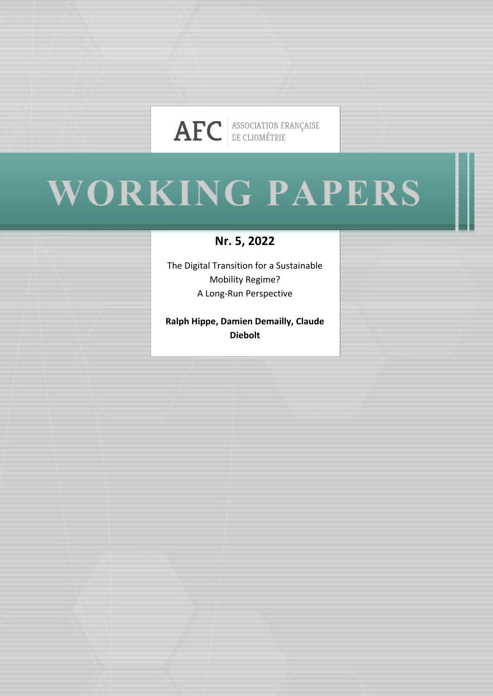

# WORKING PAPERS

# **Nr. 5, 2022**

The Digital Transition for a Sustainable Mobility Regime? A Long-Run Perspective

**Ralph Hippe, Damien Demailly, Claude Diebolt**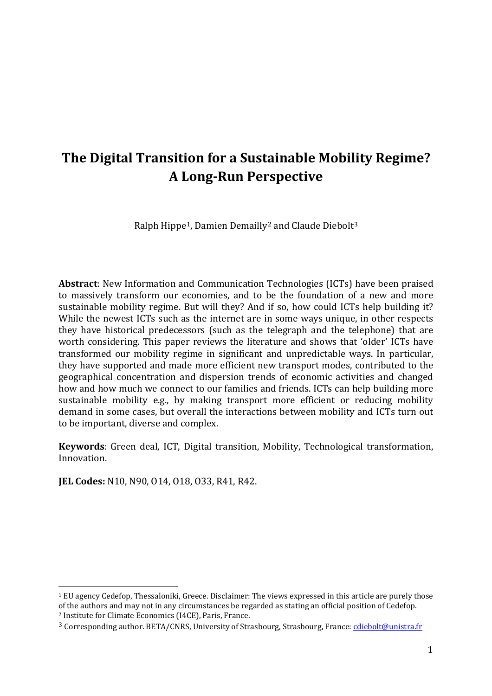# **The Digital Transition for a Sustainable Mobility Regime? A Long-Run Perspective**

Ralph Hippe<sup>1</sup>, Damien Demailly<sup>[2](#page-1-1)</sup> and Claude Diebolt<sup>[3](#page-1-2)</sup>

**Abstract**: New Information and Communication Technologies (ICTs) have been praised to massively transform our economies, and to be the foundation of a new and more sustainable mobility regime. But will they? And if so, how could ICTs help building it? While the newest ICTs such as the internet are in some ways unique, in other respects they have historical predecessors (such as the telegraph and the telephone) that are worth considering. This paper reviews the literature and shows that 'older' ICTs have transformed our mobility regime in significant and unpredictable ways. In particular, they have supported and made more efficient new transport modes, contributed to the geographical concentration and dispersion trends of economic activities and changed how and how much we connect to our families and friends. ICTs can help building more sustainable mobility e.g., by making transport more efficient or reducing mobility demand in some cases, but overall the interactions between mobility and ICTs turn out to be important, diverse and complex.

**Keywords**: Green deal, ICT, Digital transition, Mobility, Technological transformation, Innovation.

**JEL Codes:** N10, N90, O14, O18, O33, R41, R42.

<span id="page-1-0"></span> <sup>1</sup> EU agency Cedefop, Thessaloniki, Greece. Disclaimer: The views expressed in this article are purely those of the authors and may not in any circumstances be regarded as stating an official position of Cedefop.

<span id="page-1-1"></span><sup>2</sup> Institute for Climate Economics (I4CE), Paris, France.

<span id="page-1-2"></span><sup>&</sup>lt;sup>3</sup> Corresponding author. BETA/CNRS, University of Strasbourg, Strasbourg, France[: cdiebolt@unistra.fr](mailto:cdiebolt@unistra.fr)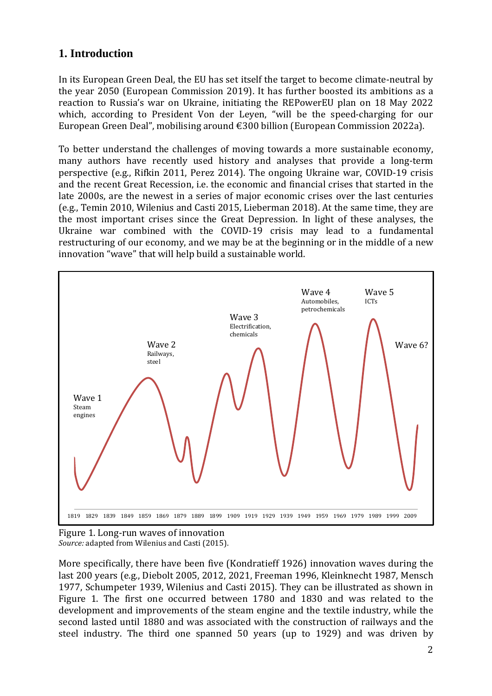# **1. Introduction**

In its European Green Deal, the EU has set itself the target to become climate-neutral by the year 2050 (European Commission 2019). It has further boosted its ambitions as a reaction to Russia's war on Ukraine, initiating the REPowerEU plan on 18 May 2022 which, according to President Von der Leyen, "will be the speed-charging for our European Green Deal", mobilising around €300 billion (European Commission 2022a).

To better understand the challenges of moving towards a more sustainable economy, many authors have recently used history and analyses that provide a long-term perspective (e.g., Rifkin 2011, Perez 2014). The ongoing Ukraine war, COVID-19 crisis and the recent Great Recession, i.e. the economic and financial crises that started in the late 2000s, are the newest in a series of major economic crises over the last centuries (e.g., Temin 2010, Wilenius and Casti 2015, Lieberman 2018). At the same time, they are the most important crises since the Great Depression. In light of these analyses, the Ukraine war combined with the COVID-19 crisis may lead to a fundamental restructuring of our economy, and we may be at the beginning or in the middle of a new innovation "wave" that will help build a sustainable world.



Figure 1. Long-run waves of innovation *Source:* adapted from Wilenius and Casti (2015).

More specifically, there have been five (Kondratieff 1926) innovation waves during the last 200 years (e.g., Diebolt 2005, 2012, 2021, Freeman 1996, Kleinknecht 1987, Mensch 1977, Schumpeter 1939, Wilenius and Casti 2015). They can be illustrated as shown in Figure 1. The first one occurred between 1780 and 1830 and was related to the development and improvements of the steam engine and the textile industry, while the second lasted until 1880 and was associated with the construction of railways and the steel industry. The third one spanned 50 years (up to 1929) and was driven by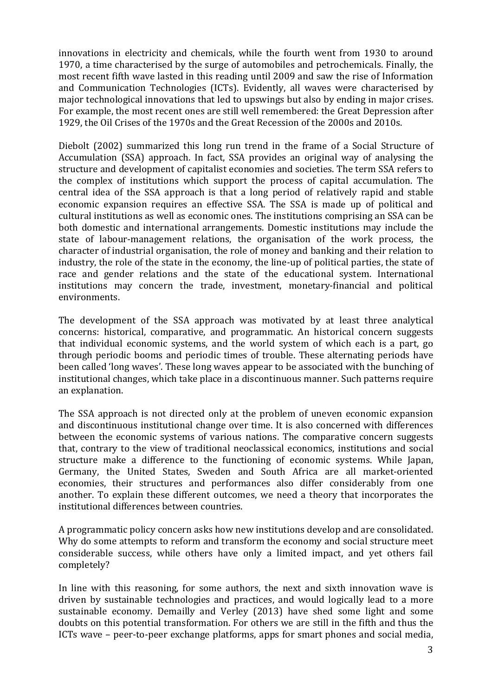innovations in electricity and chemicals, while the fourth went from 1930 to around 1970, a time characterised by the surge of automobiles and petrochemicals. Finally, the most recent fifth wave lasted in this reading until 2009 and saw the rise of Information and Communication Technologies (ICTs). Evidently, all waves were characterised by major technological innovations that led to upswings but also by ending in major crises. For example, the most recent ones are still well remembered: the Great Depression after 1929, the Oil Crises of the 1970s and the Great Recession of the 2000s and 2010s.

Diebolt (2002) summarized this long run trend in the frame of a Social Structure of Accumulation (SSA) approach. In fact, SSA provides an original way of analysing the structure and development of capitalist economies and societies. The term SSA refers to the complex of institutions which support the process of capital accumulation. The central idea of the SSA approach is that a long period of relatively rapid and stable economic expansion requires an effective SSA. The SSA is made up of political and cultural institutions as well as economic ones. The institutions comprising an SSA can be both domestic and international arrangements. Domestic institutions may include the state of labour-management relations, the organisation of the work process, the character of industrial organisation, the role of money and banking and their relation to industry, the role of the state in the economy, the line-up of political parties, the state of race and gender relations and the state of the educational system. International institutions may concern the trade, investment, monetary-financial and political environments.

The development of the SSA approach was motivated by at least three analytical concerns: historical, comparative, and programmatic. An historical concern suggests that individual economic systems, and the world system of which each is a part, go through periodic booms and periodic times of trouble. These alternating periods have been called 'long waves'. These long waves appear to be associated with the bunching of institutional changes, which take place in a discontinuous manner. Such patterns require an explanation.

The SSA approach is not directed only at the problem of uneven economic expansion and discontinuous institutional change over time. It is also concerned with differences between the economic systems of various nations. The comparative concern suggests that, contrary to the view of traditional neoclassical economics, institutions and social structure make a difference to the functioning of economic systems. While Japan, Germany, the United States, Sweden and South Africa are all market-oriented economies, their structures and performances also differ considerably from one another. To explain these different outcomes, we need a theory that incorporates the institutional differences between countries.

A programmatic policy concern asks how new institutions develop and are consolidated. Why do some attempts to reform and transform the economy and social structure meet considerable success, while others have only a limited impact, and yet others fail completely?

In line with this reasoning, for some authors, the next and sixth innovation wave is driven by sustainable technologies and practices, and would logically lead to a more sustainable economy. Demailly and Verley (2013) have shed some light and some doubts on this potential transformation. For others we are still in the fifth and thus the ICTs wave – peer-to-peer exchange platforms, apps for smart phones and social media,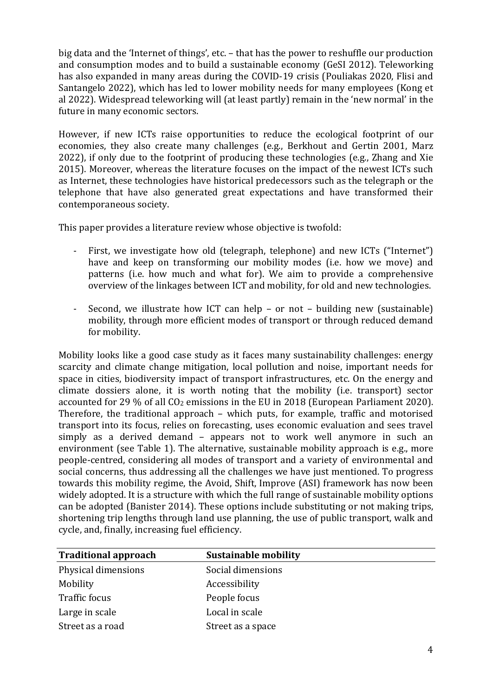big data and the 'Internet of things', etc. – that has the power to reshuffle our production and consumption modes and to build a sustainable economy (GeSI 2012). Teleworking has also expanded in many areas during the COVID-19 crisis (Pouliakas 2020, Flisi and Santangelo 2022), which has led to lower mobility needs for many employees (Kong et al 2022). Widespread teleworking will (at least partly) remain in the 'new normal' in the future in many economic sectors.

However, if new ICTs raise opportunities to reduce the ecological footprint of our economies, they also create many challenges (e.g., Berkhout and Gertin 2001, Marz 2022), if only due to the footprint of producing these technologies (e.g., Zhang and Xie 2015). Moreover, whereas the literature focuses on the impact of the newest ICTs such as Internet, these technologies have historical predecessors such as the telegraph or the telephone that have also generated great expectations and have transformed their contemporaneous society.

This paper provides a literature review whose objective is twofold:

- First, we investigate how old (telegraph, telephone) and new ICTs ("Internet") have and keep on transforming our mobility modes (i.e. how we move) and patterns (i.e. how much and what for). We aim to provide a comprehensive overview of the linkages between ICT and mobility, for old and new technologies.
- Second, we illustrate how ICT can help or not building new (sustainable) mobility, through more efficient modes of transport or through reduced demand for mobility.

Mobility looks like a good case study as it faces many sustainability challenges: energy scarcity and climate change mitigation, local pollution and noise, important needs for space in cities, biodiversity impact of transport infrastructures, etc. On the energy and climate dossiers alone, it is worth noting that the mobility (i.e. transport) sector accounted for 29 % of all CO<sub>2</sub> emissions in the EU in 2018 (European Parliament 2020). Therefore, the traditional approach – which puts, for example, traffic and motorised transport into its focus, relies on forecasting, uses economic evaluation and sees travel simply as a derived demand – appears not to work well anymore in such an environment (see Table 1). The alternative, sustainable mobility approach is e.g., more people-centred, considering all modes of transport and a variety of environmental and social concerns, thus addressing all the challenges we have just mentioned. To progress towards this mobility regime, the Avoid, Shift, Improve (ASI) framework has now been widely adopted. It is a structure with which the full range of sustainable mobility options can be adopted (Banister 2014). These options include substituting or not making trips, shortening trip lengths through land use planning, the use of public transport, walk and cycle, and, finally, increasing fuel efficiency.

| <b>Traditional approach</b> | <b>Sustainable mobility</b> |
|-----------------------------|-----------------------------|
| Physical dimensions         | Social dimensions           |
| Mobility                    | Accessibility               |
| Traffic focus               | People focus                |
| Large in scale              | Local in scale              |
| Street as a road            | Street as a space           |
|                             |                             |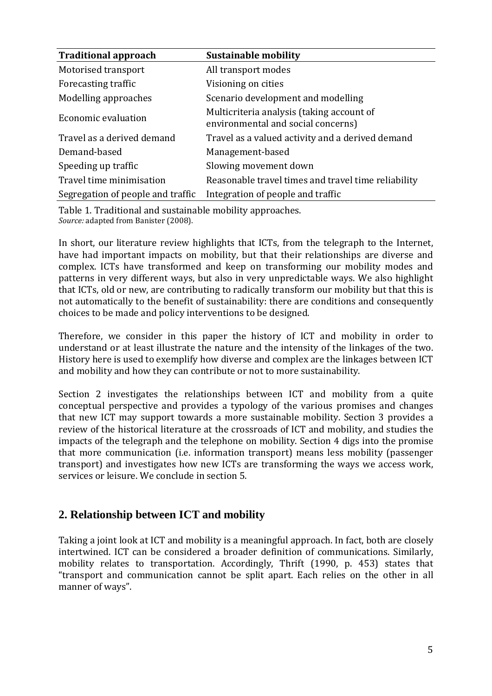| <b>Traditional approach</b>       | <b>Sustainable mobility</b>                                                     |
|-----------------------------------|---------------------------------------------------------------------------------|
| Motorised transport               | All transport modes                                                             |
| Forecasting traffic               | Visioning on cities                                                             |
| Modelling approaches              | Scenario development and modelling                                              |
| Economic evaluation               | Multicriteria analysis (taking account of<br>environmental and social concerns) |
| Travel as a derived demand        | Travel as a valued activity and a derived demand                                |
| Demand-based                      | Management-based                                                                |
| Speeding up traffic               | Slowing movement down                                                           |
| Travel time minimisation          | Reasonable travel times and travel time reliability                             |
| Segregation of people and traffic | Integration of people and traffic                                               |

Table 1. Traditional and sustainable mobility approaches. *Source:* adapted from Banister (2008).

In short, our literature review highlights that ICTs, from the telegraph to the Internet, have had important impacts on mobility, but that their relationships are diverse and complex. ICTs have transformed and keep on transforming our mobility modes and patterns in very different ways, but also in very unpredictable ways. We also highlight that ICTs, old or new, are contributing to radically transform our mobility but that this is not automatically to the benefit of sustainability: there are conditions and consequently choices to be made and policy interventions to be designed.

Therefore, we consider in this paper the history of ICT and mobility in order to understand or at least illustrate the nature and the intensity of the linkages of the two. History here is used to exemplify how diverse and complex are the linkages between ICT and mobility and how they can contribute or not to more sustainability.

Section 2 investigates the relationships between ICT and mobility from a quite conceptual perspective and provides a typology of the various promises and changes that new ICT may support towards a more sustainable mobility. Section 3 provides a review of the historical literature at the crossroads of ICT and mobility, and studies the impacts of the telegraph and the telephone on mobility. Section 4 digs into the promise that more communication (i.e. information transport) means less mobility (passenger transport) and investigates how new ICTs are transforming the ways we access work, services or leisure. We conclude in section 5.

## **2. Relationship between ICT and mobility**

Taking a joint look at ICT and mobility is a meaningful approach. In fact, both are closely intertwined. ICT can be considered a broader definition of communications. Similarly, mobility relates to transportation. Accordingly, Thrift (1990, p. 453) states that "transport and communication cannot be split apart. Each relies on the other in all manner of ways".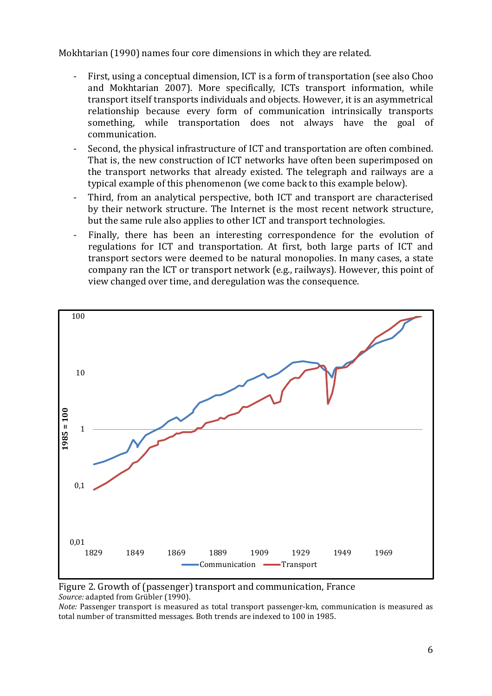Mokhtarian (1990) names four core dimensions in which they are related.

- First, using a conceptual dimension, ICT is a form of transportation (see also Choo and Mokhtarian 2007). More specifically, ICTs transport information, while transport itself transports individuals and objects. However, it is an asymmetrical relationship because every form of communication intrinsically transports something, while transportation does not always have the goal of communication.
- Second, the physical infrastructure of ICT and transportation are often combined. That is, the new construction of ICT networks have often been superimposed on the transport networks that already existed. The telegraph and railways are a typical example of this phenomenon (we come back to this example below).
- Third, from an analytical perspective, both ICT and transport are characterised by their network structure. The Internet is the most recent network structure, but the same rule also applies to other ICT and transport technologies.
- Finally, there has been an interesting correspondence for the evolution of regulations for ICT and transportation. At first, both large parts of ICT and transport sectors were deemed to be natural monopolies. In many cases, a state company ran the ICT or transport network (e.g., railways). However, this point of view changed over time, and deregulation was the consequence.



Figure 2. Growth of (passenger) transport and communication, France *Source:* adapted from Grübler (1990).

*Note:* Passenger transport is measured as total transport passenger-km, communication is measured as total number of transmitted messages. Both trends are indexed to 100 in 1985.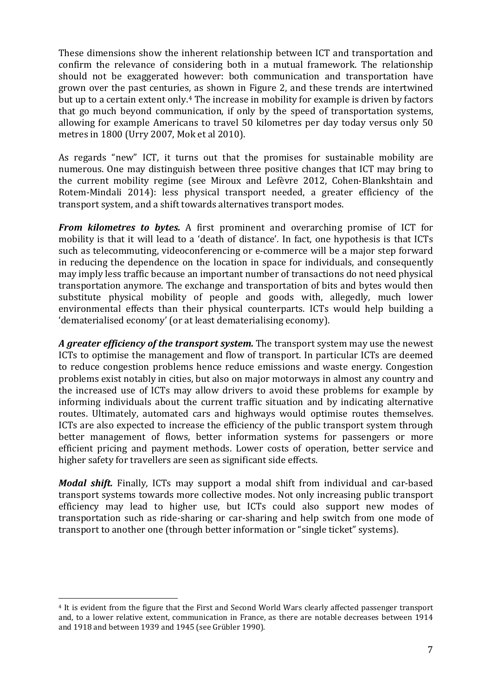These dimensions show the inherent relationship between ICT and transportation and confirm the relevance of considering both in a mutual framework. The relationship should not be exaggerated however: both communication and transportation have grown over the past centurie[s,](#page-7-0) as shown in Figure 2, and these trends are intertwined but up to a certain extent only.4 The increase in mobility for example is driven by factors that go much beyond communication, if only by the speed of transportation systems, allowing for example Americans to travel 50 kilometres per day today versus only 50 metres in 1800 (Urry 2007, Mok et al 2010).

As regards "new" ICT, it turns out that the promises for sustainable mobility are numerous. One may distinguish between three positive changes that ICT may bring to the current mobility regime (see Miroux and Lefèvre 2012, Cohen-Blankshtain and Rotem-Mindali 2014): less physical transport needed, a greater efficiency of the transport system, and a shift towards alternatives transport modes.

*From kilometres to bytes.* A first prominent and overarching promise of ICT for mobility is that it will lead to a 'death of distance'. In fact, one hypothesis is that ICTs such as telecommuting, videoconferencing or e-commerce will be a major step forward in reducing the dependence on the location in space for individuals, and consequently may imply less traffic because an important number of transactions do not need physical transportation anymore. The exchange and transportation of bits and bytes would then substitute physical mobility of people and goods with, allegedly, much lower environmental effects than their physical counterparts. ICTs would help building a 'dematerialised economy' (or at least dematerialising economy).

*A greater efficiency of the transport system.* The transport system may use the newest ICTs to optimise the management and flow of transport. In particular ICTs are deemed to reduce congestion problems hence reduce emissions and waste energy. Congestion problems exist notably in cities, but also on major motorways in almost any country and the increased use of ICTs may allow drivers to avoid these problems for example by informing individuals about the current traffic situation and by indicating alternative routes. Ultimately, automated cars and highways would optimise routes themselves. ICTs are also expected to increase the efficiency of the public transport system through better management of flows, better information systems for passengers or more efficient pricing and payment methods. Lower costs of operation, better service and higher safety for travellers are seen as significant side effects.

*Modal shift.* Finally, ICTs may support a modal shift from individual and car-based transport systems towards more collective modes. Not only increasing public transport efficiency may lead to higher use, but ICTs could also support new modes of transportation such as ride-sharing or car-sharing and help switch from one mode of transport to another one (through better information or "single ticket" systems).

<span id="page-7-0"></span> <sup>4</sup> It is evident from the figure that the First and Second World Wars clearly affected passenger transport and, to a lower relative extent, communication in France, as there are notable decreases between 1914 and 1918 and between 1939 and 1945 (see Grübler 1990).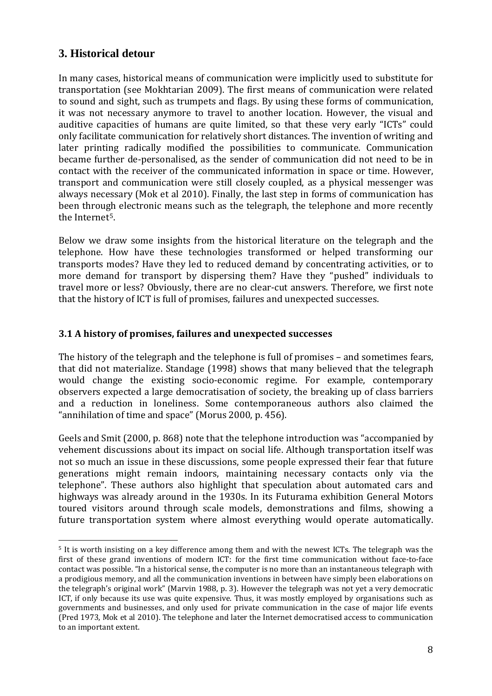# **3. Historical detour**

In many cases, historical means of communication were implicitly used to substitute for transportation (see Mokhtarian 2009). The first means of communication were related to sound and sight, such as trumpets and flags. By using these forms of communication, it was not necessary anymore to travel to another location. However, the visual and auditive capacities of humans are quite limited, so that these very early "ICTs" could only facilitate communication for relatively short distances. The invention of writing and later printing radically modified the possibilities to communicate. Communication became further de-personalised, as the sender of communication did not need to be in contact with the receiver of the communicated information in space or time. However, transport and communication were still closely coupled, as a physical messenger was always necessary (Mok et al 2010). Finally, the last step in forms of communication has been through electronic means such as the telegraph, the telephone and more recently the Internet<sup>[5](#page-8-0)</sup>.

Below we draw some insights from the historical literature on the telegraph and the telephone. How have these technologies transformed or helped transforming our transports modes? Have they led to reduced demand by concentrating activities, or to more demand for transport by dispersing them? Have they "pushed" individuals to travel more or less? Obviously, there are no clear-cut answers. Therefore, we first note that the history of ICT is full of promises, failures and unexpected successes.

#### **3.1 A history of promises, failures and unexpected successes**

The history of the telegraph and the telephone is full of promises – and sometimes fears, that did not materialize. Standage (1998) shows that many believed that the telegraph would change the existing socio-economic regime. For example, contemporary observers expected a large democratisation of society, the breaking up of class barriers and a reduction in loneliness. Some contemporaneous authors also claimed the "annihilation of time and space" (Morus 2000, p. 456).

Geels and Smit (2000, p. 868) note that the telephone introduction was "accompanied by vehement discussions about its impact on social life. Although transportation itself was not so much an issue in these discussions, some people expressed their fear that future generations might remain indoors, maintaining necessary contacts only via the telephone". These authors also highlight that speculation about automated cars and highways was already around in the 1930s. In its Futurama exhibition General Motors toured visitors around through scale models, demonstrations and films, showing a future transportation system where almost everything would operate automatically.

<span id="page-8-0"></span> <sup>5</sup> It is worth insisting on a key difference among them and with the newest ICTs. The telegraph was the first of these grand inventions of modern ICT: for the first time communication without face-to-face contact was possible. "In a historical sense, the computer is no more than an instantaneous telegraph with a prodigious memory, and all the communication inventions in between have simply been elaborations on the telegraph's original work" (Marvin 1988, p. 3). However the telegraph was not yet a very democratic ICT, if only because its use was quite expensive. Thus, it was mostly employed by organisations such as governments and businesses, and only used for private communication in the case of major life events (Pred 1973, Mok et al 2010). The telephone and later the Internet democratised access to communication to an important extent.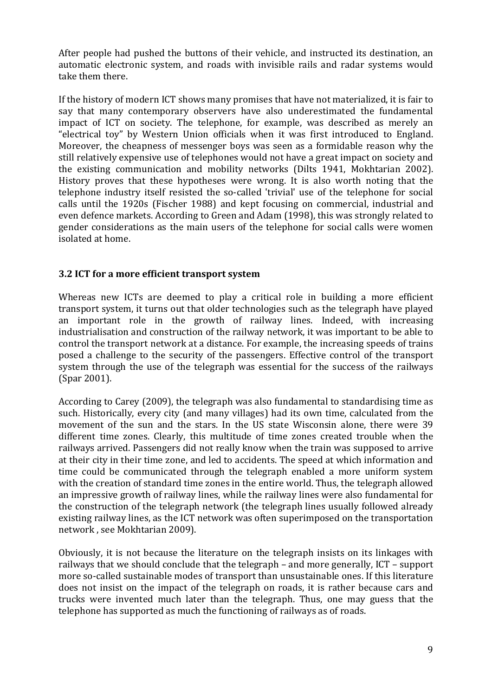After people had pushed the buttons of their vehicle, and instructed its destination, an automatic electronic system, and roads with invisible rails and radar systems would take them there.

If the history of modern ICT shows many promises that have not materialized, it is fair to say that many contemporary observers have also underestimated the fundamental impact of ICT on society. The telephone, for example, was described as merely an "electrical toy" by Western Union officials when it was first introduced to England. Moreover, the cheapness of messenger boys was seen as a formidable reason why the still relatively expensive use of telephones would not have a great impact on society and the existing communication and mobility networks (Dilts 1941, Mokhtarian 2002). History proves that these hypotheses were wrong. It is also worth noting that the telephone industry itself resisted the so-called 'trivial' use of the telephone for social calls until the 1920s (Fischer 1988) and kept focusing on commercial, industrial and even defence markets. According to Green and Adam (1998), this was strongly related to gender considerations as the main users of the telephone for social calls were women isolated at home.

#### **3.2 ICT for a more efficient transport system**

Whereas new ICTs are deemed to play a critical role in building a more efficient transport system, it turns out that older technologies such as the telegraph have played an important role in the growth of railway lines. Indeed, with increasing industrialisation and construction of the railway network, it was important to be able to control the transport network at a distance. For example, the increasing speeds of trains posed a challenge to the security of the passengers. Effective control of the transport system through the use of the telegraph was essential for the success of the railways (Spar 2001).

According to Carey (2009), the telegraph was also fundamental to standardising time as such. Historically, every city (and many villages) had its own time, calculated from the movement of the sun and the stars. In the US state Wisconsin alone, there were 39 different time zones. Clearly, this multitude of time zones created trouble when the railways arrived. Passengers did not really know when the train was supposed to arrive at their city in their time zone, and led to accidents. The speed at which information and time could be communicated through the telegraph enabled a more uniform system with the creation of standard time zones in the entire world. Thus, the telegraph allowed an impressive growth of railway lines, while the railway lines were also fundamental for the construction of the telegraph network (the telegraph lines usually followed already existing railway lines, as the ICT network was often superimposed on the transportation network , see Mokhtarian 2009).

Obviously, it is not because the literature on the telegraph insists on its linkages with railways that we should conclude that the telegraph – and more generally, ICT – support more so-called sustainable modes of transport than unsustainable ones. If this literature does not insist on the impact of the telegraph on roads, it is rather because cars and trucks were invented much later than the telegraph. Thus, one may guess that the telephone has supported as much the functioning of railways as of roads.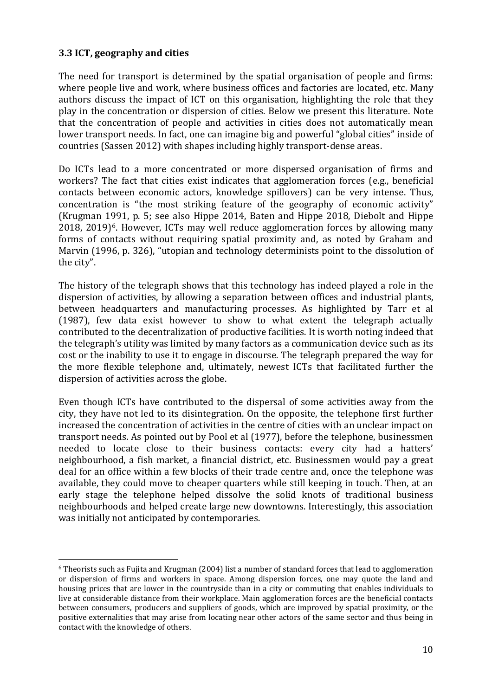#### **3.3 ICT, geography and cities**

The need for transport is determined by the spatial organisation of people and firms: where people live and work, where business offices and factories are located, etc. Many authors discuss the impact of ICT on this organisation, highlighting the role that they play in the concentration or dispersion of cities. Below we present this literature. Note that the concentration of people and activities in cities does not automatically mean lower transport needs. In fact, one can imagine big and powerful "global cities" inside of countries (Sassen 2012) with shapes including highly transport-dense areas.

Do ICTs lead to a more concentrated or more dispersed organisation of firms and workers? The fact that cities exist indicates that agglomeration forces (e.g., beneficial contacts between economic actors, knowledge spillovers) can be very intense. Thus, concentration is "the most striking feature of the geography of economic activity" (Krugman 1991, p. 5; see also Hippe 2014, Baten and Hippe 2018, Diebolt and Hippe 2018, 2019)[6](#page-10-0). However, ICTs may well reduce agglomeration forces by allowing many forms of contacts without requiring spatial proximity and, as noted by Graham and Marvin (1996, p. 326), "utopian and technology determinists point to the dissolution of the city".

The history of the telegraph shows that this technology has indeed played a role in the dispersion of activities, by allowing a separation between offices and industrial plants, between headquarters and manufacturing processes. As highlighted by Tarr et al (1987), few data exist however to show to what extent the telegraph actually contributed to the decentralization of productive facilities. It is worth noting indeed that the telegraph's utility was limited by many factors as a communication device such as its cost or the inability to use it to engage in discourse. The telegraph prepared the way for the more flexible telephone and, ultimately, newest ICTs that facilitated further the dispersion of activities across the globe.

Even though ICTs have contributed to the dispersal of some activities away from the city, they have not led to its disintegration. On the opposite, the telephone first further increased the concentration of activities in the centre of cities with an unclear impact on transport needs. As pointed out by Pool et al (1977), before the telephone, businessmen needed to locate close to their business contacts: every city had a hatters' neighbourhood, a fish market, a financial district, etc. Businessmen would pay a great deal for an office within a few blocks of their trade centre and, once the telephone was available, they could move to cheaper quarters while still keeping in touch. Then, at an early stage the telephone helped dissolve the solid knots of traditional business neighbourhoods and helped create large new downtowns. Interestingly, this association was initially not anticipated by contemporaries.

<span id="page-10-0"></span> <sup>6</sup> Theorists such as Fujita and Krugman (2004) list a number of standard forces that lead to agglomeration or dispersion of firms and workers in space. Among dispersion forces, one may quote the land and housing prices that are lower in the countryside than in a city or commuting that enables individuals to live at considerable distance from their workplace. Main agglomeration forces are the beneficial contacts between consumers, producers and suppliers of goods, which are improved by spatial proximity, or the positive externalities that may arise from locating near other actors of the same sector and thus being in contact with the knowledge of others.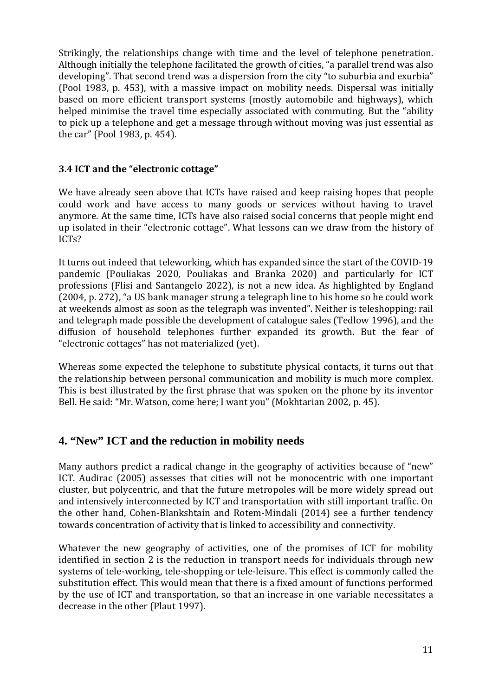Strikingly, the relationships change with time and the level of telephone penetration. Although initially the telephone facilitated the growth of cities, "a parallel trend was also developing". That second trend was a dispersion from the city "to suburbia and exurbia" (Pool 1983, p. 453), with a massive impact on mobility needs. Dispersal was initially based on more efficient transport systems (mostly automobile and highways), which helped minimise the travel time especially associated with commuting. But the "ability to pick up a telephone and get a message through without moving was just essential as the car" (Pool 1983, p. 454).

#### **3.4 ICT and the "electronic cottage"**

We have already seen above that ICTs have raised and keep raising hopes that people could work and have access to many goods or services without having to travel anymore. At the same time, ICTs have also raised social concerns that people might end up isolated in their "electronic cottage". What lessons can we draw from the history of ICTs?

It turns out indeed that teleworking, which has expanded since the start of the COVID-19 pandemic (Pouliakas 2020, Pouliakas and Branka 2020) and particularly for ICT professions (Flisi and Santangelo 2022), is not a new idea. As highlighted by England (2004, p. 272), "a US bank manager strung a telegraph line to his home so he could work at weekends almost as soon as the telegraph was invented". Neither is teleshopping: rail and telegraph made possible the development of catalogue sales (Tedlow 1996), and the diffusion of household telephones further expanded its growth. But the fear of "electronic cottages" has not materialized (yet).

Whereas some expected the telephone to substitute physical contacts, it turns out that the relationship between personal communication and mobility is much more complex. This is best illustrated by the first phrase that was spoken on the phone by its inventor Bell. He said: "Mr. Watson, come here; I want you" (Mokhtarian 2002, p. 45).

## **4. "New" ICT and the reduction in mobility needs**

Many authors predict a radical change in the geography of activities because of "new" ICT. Audirac (2005) assesses that cities will not be monocentric with one important cluster, but polycentric, and that the future metropoles will be more widely spread out and intensively interconnected by ICT and transportation with still important traffic. On the other hand, Cohen-Blankshtain and Rotem-Mindali (2014) see a further tendency towards concentration of activity that is linked to accessibility and connectivity.

Whatever the new geography of activities, one of the promises of ICT for mobility identified in section 2 is the reduction in transport needs for individuals through new systems of tele-working, tele-shopping or tele-leisure. This effect is commonly called the substitution effect. This would mean that there is a fixed amount of functions performed by the use of ICT and transportation, so that an increase in one variable necessitates a decrease in the other (Plaut 1997).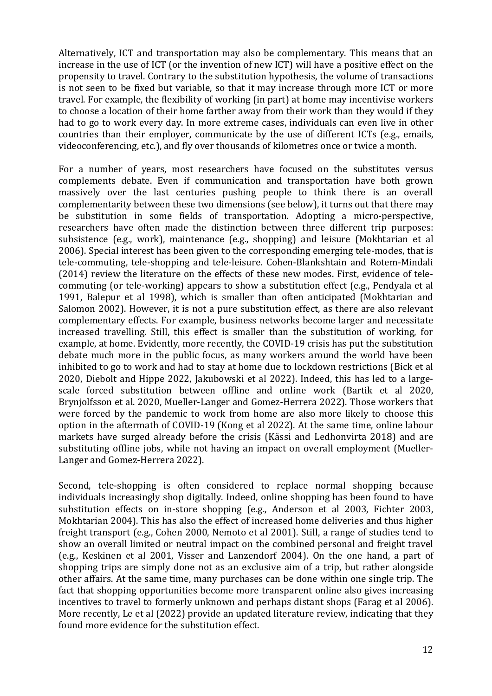Alternatively, ICT and transportation may also be complementary. This means that an increase in the use of ICT (or the invention of new ICT) will have a positive effect on the propensity to travel. Contrary to the substitution hypothesis, the volume of transactions is not seen to be fixed but variable, so that it may increase through more ICT or more travel. For example, the flexibility of working (in part) at home may incentivise workers to choose a location of their home farther away from their work than they would if they had to go to work every day. In more extreme cases, individuals can even live in other countries than their employer, communicate by the use of different ICTs (e.g., emails, videoconferencing, etc.), and fly over thousands of kilometres once or twice a month.

For a number of years, most researchers have focused on the substitutes versus complements debate. Even if communication and transportation have both grown massively over the last centuries pushing people to think there is an overall complementarity between these two dimensions (see below), it turns out that there may be substitution in some fields of transportation. Adopting a micro-perspective, researchers have often made the distinction between three different trip purposes: subsistence (e.g., work), maintenance (e.g., shopping) and leisure (Mokhtarian et al 2006). Special interest has been given to the corresponding emerging tele-modes, that is tele-commuting, tele-shopping and tele-leisure. Cohen-Blankshtain and Rotem-Mindali (2014) review the literature on the effects of these new modes. First, evidence of telecommuting (or tele-working) appears to show a substitution effect (e.g., Pendyala et al 1991, Balepur et al 1998), which is smaller than often anticipated (Mokhtarian and Salomon 2002). However, it is not a pure substitution effect, as there are also relevant complementary effects. For example, business networks become larger and necessitate increased travelling. Still, this effect is smaller than the substitution of working, for example, at home. Evidently, more recently, the COVID-19 crisis has put the substitution debate much more in the public focus, as many workers around the world have been inhibited to go to work and had to stay at home due to lockdown restrictions (Bick et al 2020, Diebolt and Hippe 2022, Jakubowski et al 2022). Indeed, this has led to a largescale forced substitution between offline and online work (Bartik et al 2020, Brynjolfsson et al. 2020, Mueller-Langer and Gomez-Herrera 2022). Those workers that were forced by the pandemic to work from home are also more likely to choose this option in the aftermath of COVID-19 (Kong et al 2022). At the same time, online labour markets have surged already before the crisis (Kässi and Ledhonvirta 2018) and are substituting offline jobs, while not having an impact on overall employment (Mueller-Langer and Gomez-Herrera 2022).

Second, tele-shopping is often considered to replace normal shopping because individuals increasingly shop digitally. Indeed, online shopping has been found to have substitution effects on in-store shopping (e.g., Anderson et al 2003, Fichter 2003, Mokhtarian 2004). This has also the effect of increased home deliveries and thus higher freight transport (e.g., Cohen 2000, Nemoto et al 2001). Still, a range of studies tend to show an overall limited or neutral impact on the combined personal and freight travel (e.g., Keskinen et al 2001, Visser and Lanzendorf 2004). On the one hand, a part of shopping trips are simply done not as an exclusive aim of a trip, but rather alongside other affairs. At the same time, many purchases can be done within one single trip. The fact that shopping opportunities become more transparent online also gives increasing incentives to travel to formerly unknown and perhaps distant shops (Farag et al 2006). More recently, Le et al (2022) provide an updated literature review, indicating that they found more evidence for the substitution effect.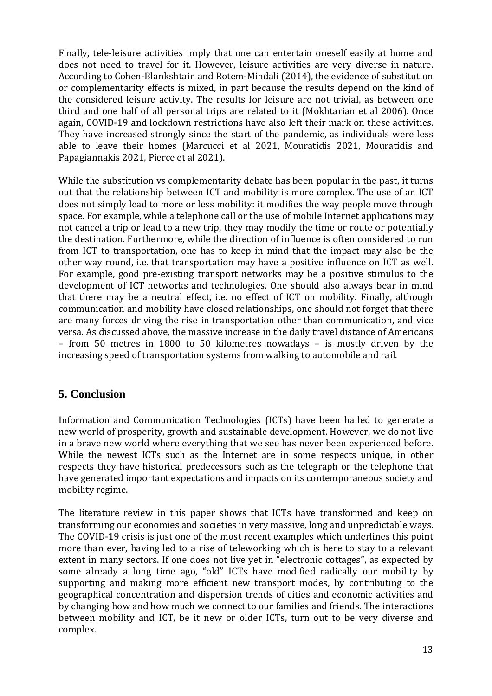Finally, tele-leisure activities imply that one can entertain oneself easily at home and does not need to travel for it. However, leisure activities are very diverse in nature. According to Cohen-Blankshtain and Rotem-Mindali (2014), the evidence of substitution or complementarity effects is mixed, in part because the results depend on the kind of the considered leisure activity. The results for leisure are not trivial, as between one third and one half of all personal trips are related to it (Mokhtarian et al 2006). Once again, COVID-19 and lockdown restrictions have also left their mark on these activities. They have increased strongly since the start of the pandemic, as individuals were less able to leave their homes (Marcucci et al 2021, Mouratidis 2021, Mouratidis and Papagiannakis 2021, Pierce et al 2021).

While the substitution vs complementarity debate has been popular in the past, it turns out that the relationship between ICT and mobility is more complex. The use of an ICT does not simply lead to more or less mobility: it modifies the way people move through space. For example, while a telephone call or the use of mobile Internet applications may not cancel a trip or lead to a new trip, they may modify the time or route or potentially the destination. Furthermore, while the direction of influence is often considered to run from ICT to transportation, one has to keep in mind that the impact may also be the other way round, i.e. that transportation may have a positive influence on ICT as well. For example, good pre-existing transport networks may be a positive stimulus to the development of ICT networks and technologies. One should also always bear in mind that there may be a neutral effect, i.e. no effect of ICT on mobility. Finally, although communication and mobility have closed relationships, one should not forget that there are many forces driving the rise in transportation other than communication, and vice versa. As discussed above, the massive increase in the daily travel distance of Americans – from 50 metres in 1800 to 50 kilometres nowadays – is mostly driven by the increasing speed of transportation systems from walking to automobile and rail.

# **5. Conclusion**

Information and Communication Technologies (ICTs) have been hailed to generate a new world of prosperity, growth and sustainable development. However, we do not live in a brave new world where everything that we see has never been experienced before. While the newest ICTs such as the Internet are in some respects unique, in other respects they have historical predecessors such as the telegraph or the telephone that have generated important expectations and impacts on its contemporaneous society and mobility regime.

The literature review in this paper shows that ICTs have transformed and keep on transforming our economies and societies in very massive, long and unpredictable ways. The COVID-19 crisis is just one of the most recent examples which underlines this point more than ever, having led to a rise of teleworking which is here to stay to a relevant extent in many sectors. If one does not live yet in "electronic cottages", as expected by some already a long time ago, "old" ICTs have modified radically our mobility by supporting and making more efficient new transport modes, by contributing to the geographical concentration and dispersion trends of cities and economic activities and by changing how and how much we connect to our families and friends. The interactions between mobility and ICT, be it new or older ICTs, turn out to be very diverse and complex.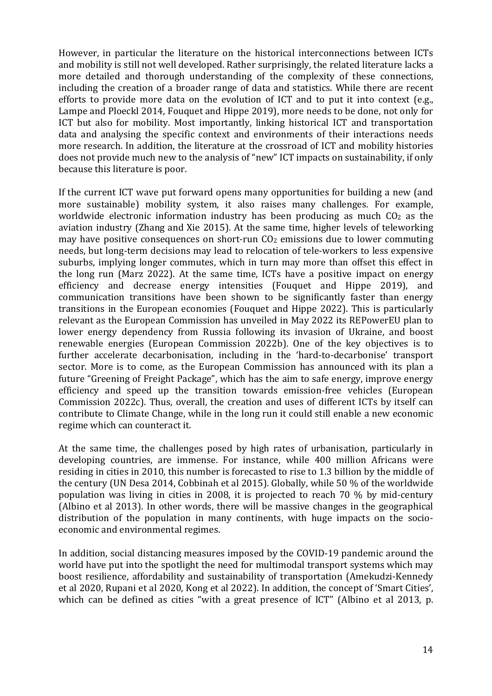However, in particular the literature on the historical interconnections between ICTs and mobility is still not well developed. Rather surprisingly, the related literature lacks a more detailed and thorough understanding of the complexity of these connections, including the creation of a broader range of data and statistics. While there are recent efforts to provide more data on the evolution of ICT and to put it into context (e.g., Lampe and Ploeckl 2014, Fouquet and Hippe 2019), more needs to be done, not only for ICT but also for mobility. Most importantly, linking historical ICT and transportation data and analysing the specific context and environments of their interactions needs more research. In addition, the literature at the crossroad of ICT and mobility histories does not provide much new to the analysis of "new" ICT impacts on sustainability, if only because this literature is poor.

If the current ICT wave put forward opens many opportunities for building a new (and more sustainable) mobility system, it also raises many challenges. For example, worldwide electronic information industry has been producing as much  $CO<sub>2</sub>$  as the aviation industry (Zhang and Xie 2015). At the same time, higher levels of teleworking may have positive consequences on short-run  $CO<sub>2</sub>$  emissions due to lower commuting needs, but long-term decisions may lead to relocation of tele-workers to less expensive suburbs, implying longer commutes, which in turn may more than offset this effect in the long run (Marz 2022). At the same time, ICTs have a positive impact on energy efficiency and decrease energy intensities (Fouquet and Hippe 2019), and communication transitions have been shown to be significantly faster than energy transitions in the European economies (Fouquet and Hippe 2022). This is particularly relevant as the European Commission has unveiled in May 2022 its REPowerEU plan to lower energy dependency from Russia following its invasion of Ukraine, and boost renewable energies (European Commission 2022b). One of the key objectives is to further accelerate decarbonisation, including in the 'hard-to-decarbonise' transport sector. More is to come, as the European Commission has announced with its plan a future "Greening of Freight Package", which has the aim to safe energy, improve energy efficiency and speed up the transition towards emission-free vehicles (European Commission 2022c). Thus, overall, the creation and uses of different ICTs by itself can contribute to Climate Change, while in the long run it could still enable a new economic regime which can counteract it.

At the same time, the challenges posed by high rates of urbanisation, particularly in developing countries, are immense. For instance, while 400 million Africans were residing in cities in 2010, this number is forecasted to rise to 1.3 billion by the middle of the century (UN Desa 2014, Cobbinah et al 2015). Globally, while 50 % of the worldwide population was living in cities in 2008, it is projected to reach 70 % by mid-century (Albino et al 2013). In other words, there will be massive changes in the geographical distribution of the population in many continents, with huge impacts on the socioeconomic and environmental regimes.

In addition, social distancing measures imposed by the COVID-19 pandemic around the world have put into the spotlight the need for multimodal transport systems which may boost resilience, affordability and sustainability of transportation (Amekudzi-Kennedy et al 2020, Rupani et al 2020, Kong et al 2022). In addition, the concept of 'Smart Cities', which can be defined as cities "with a great presence of ICT" (Albino et al 2013, p.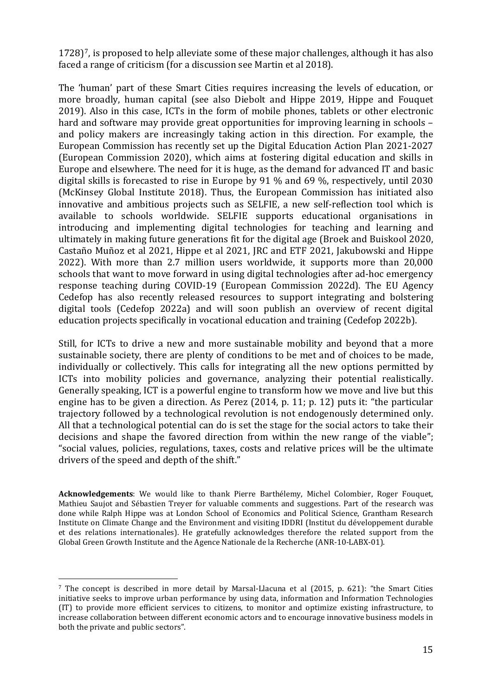1728)[7](#page-15-0), is proposed to help alleviate some of these major challenges, although it has also faced a range of criticism (for a discussion see Martin et al 2018).

The 'human' part of these Smart Cities requires increasing the levels of education, or more broadly, human capital (see also Diebolt and Hippe 2019, Hippe and Fouquet 2019). Also in this case, ICTs in the form of mobile phones, tablets or other electronic hard and software may provide great opportunities for improving learning in schools – and policy makers are increasingly taking action in this direction. For example, the European Commission has recently set up the Digital Education Action Plan 2021-2027 (European Commission 2020), which aims at fostering digital education and skills in Europe and elsewhere. The need for it is huge, as the demand for advanced IT and basic digital skills is forecasted to rise in Europe by 91 % and 69 %, respectively, until 2030 (McKinsey Global Institute 2018). Thus, the European Commission has initiated also innovative and ambitious projects such as SELFIE, a new self-reflection tool which is available to schools worldwide. SELFIE supports educational organisations in introducing and implementing digital technologies for teaching and learning and ultimately in making future generations fit for the digital age (Broek and Buiskool 2020, Castaño Muñoz et al 2021, Hippe et al 2021, JRC and ETF 2021, Jakubowski and Hippe 2022). With more than 2.7 million users worldwide, it supports more than 20,000 schools that want to move forward in using digital technologies after ad-hoc emergency response teaching during COVID-19 (European Commission 2022d). The EU Agency Cedefop has also recently released resources to support integrating and bolstering digital tools (Cedefop 2022a) and will soon publish an overview of recent digital education projects specifically in vocational education and training (Cedefop 2022b).

Still, for ICTs to drive a new and more sustainable mobility and beyond that a more sustainable society, there are plenty of conditions to be met and of choices to be made, individually or collectively. This calls for integrating all the new options permitted by ICTs into mobility policies and governance, analyzing their potential realistically. Generally speaking, ICT is a powerful engine to transform how we move and live but this engine has to be given a direction. As Perez (2014, p. 11; p. 12) puts it: "the particular trajectory followed by a technological revolution is not endogenously determined only. All that a technological potential can do is set the stage for the social actors to take their decisions and shape the favored direction from within the new range of the viable"; "social values, policies, regulations, taxes, costs and relative prices will be the ultimate drivers of the speed and depth of the shift."

**Acknowledgements**: We would like to thank Pierre Barthélemy, Michel Colombier, Roger Fouquet, Mathieu Saujot and Sébastien Treyer for valuable comments and suggestions. Part of the research was done while Ralph Hippe was at London School of Economics and Political Science, Grantham Research Institute on Climate Change and the Environment and visiting IDDRI (Institut du développement durable et des relations internationales). He gratefully acknowledges therefore the related support from the Global Green Growth Institute and the Agence Nationale de la Recherche (ANR-10-LABX-01).

<span id="page-15-0"></span> <sup>7</sup> The concept is described in more detail by Marsal-Llacuna et al (2015, p. 621): "the Smart Cities initiative seeks to improve urban performance by using data, information and Information Technologies (IT) to provide more efficient services to citizens, to monitor and optimize existing infrastructure, to increase collaboration between different economic actors and to encourage innovative business models in both the private and public sectors".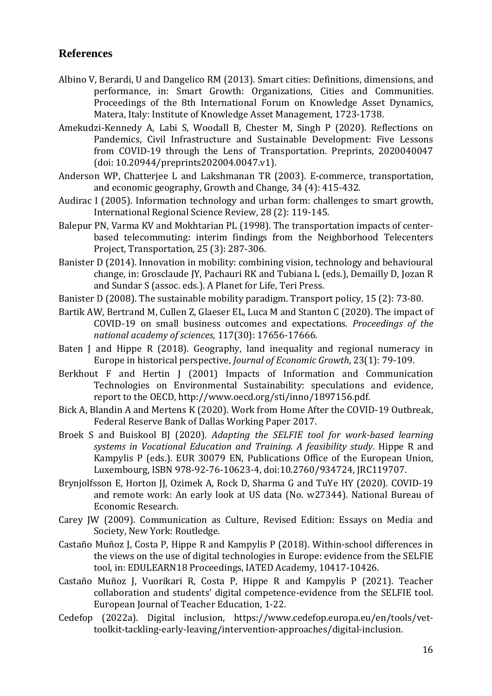#### **References**

- Albino V, Berardi, U and Dangelico RM (2013). Smart cities: Definitions, dimensions, and performance, in: Smart Growth: Organizations, Cities and Communities. Proceedings of the 8th International Forum on Knowledge Asset Dynamics, Matera, Italy: Institute of Knowledge Asset Management, 1723-1738.
- Amekudzi-Kennedy A, Labi S, Woodall B, Chester M, Singh P (2020). Reflections on Pandemics, Civil Infrastructure and Sustainable Development: Five Lessons from COVID-19 through the Lens of Transportation. Preprints, 2020040047 (doi: 10.20944/preprints202004.0047.v1).
- Anderson WP, Chatterjee L and Lakshmanan TR (2003). E-commerce, transportation, and economic geography, Growth and Change, 34 (4): 415-432.
- Audirac I (2005). Information technology and urban form: challenges to smart growth, International Regional Science Review, 28 (2): 119-145.
- Balepur PN, Varma KV and Mokhtarian PL (1998). The transportation impacts of centerbased telecommuting: interim findings from the Neighborhood Telecenters Project, Transportation, 25 (3): 287-306.
- Banister D (2014). Innovation in mobility: combining vision, technology and behavioural change, in: Grosclaude JY, Pachauri RK and Tubiana L (eds.), Demailly D, Jozan R and Sundar S (assoc. eds.). A Planet for Life, Teri Press.
- Banister D (2008). The sustainable mobility paradigm. Transport policy, 15 (2): 73-80.
- Bartik AW, Bertrand M, Cullen Z, Glaeser EL, Luca M and Stanton C (2020). The impact of COVID-19 on small business outcomes and expectations. *Proceedings of the national academy of sciences*, 117(30): 17656-17666.
- Baten J and Hippe R (2018). Geography, land inequality and regional numeracy in Europe in historical perspective, *Journal of Economic Growth*, 23(1): 79-109.
- Berkhout F and Hertin J (2001) Impacts of Information and Communication Technologies on Environmental Sustainability: speculations and evidence, report to the OECD, http://www.oecd.org/sti/inno/1897156.pdf.
- Bick A, Blandin A and Mertens K (2020). Work from Home After the COVID-19 Outbreak, Federal Reserve Bank of Dallas Working Paper 2017.
- Broek S and Buiskool BJ (2020). *Adapting the SELFIE tool for work-based learning systems in Vocational Education and Training. A feasibility study*. Hippe R and Kampylis P (eds.). EUR 30079 EN, Publications Office of the European Union, Luxembourg, ISBN 978-92-76-10623-4, doi:10.2760/934724, JRC119707.
- Brynjolfsson E, Horton JJ, Ozimek A, Rock D, Sharma G and TuYe HY (2020). COVID-19 and remote work: An early look at US data (No. w27344). National Bureau of Economic Research.
- Carey JW (2009). Communication as Culture, Revised Edition: Essays on Media and Society, New York: Routledge.
- Castaño Muñoz J, Costa P, Hippe R and Kampylis P (2018). Within-school differences in the views on the use of digital technologies in Europe: evidence from the SELFIE tool, in: EDULEARN18 Proceedings, IATED Academy, 10417-10426.
- Castaño Muñoz J, Vuorikari R, Costa P, Hippe R and Kampylis P (2021). Teacher collaboration and students' digital competence-evidence from the SELFIE tool. European Journal of Teacher Education, 1-22.
- Cedefop (2022a). Digital inclusion, https://www.cedefop.europa.eu/en/tools/vettoolkit-tackling-early-leaving/intervention-approaches/digital-inclusion.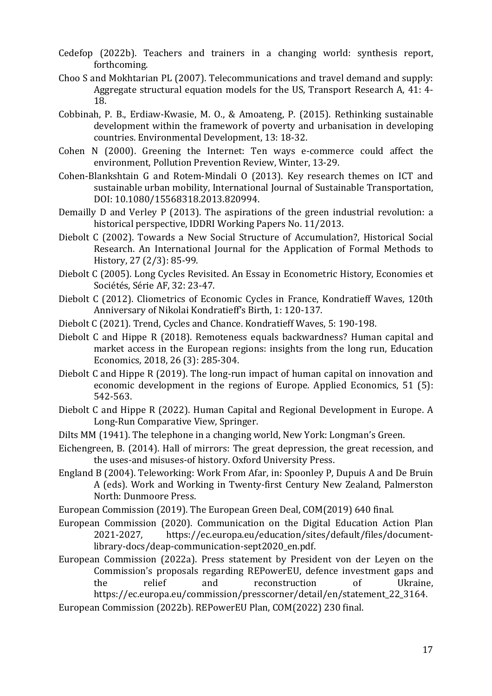- Cedefop (2022b). Teachers and trainers in a changing world: synthesis report, forthcoming.
- Choo S and Mokhtarian PL (2007). Telecommunications and travel demand and supply: Aggregate structural equation models for the US, Transport Research A, 41: 4- 18.
- Cobbinah, P. B., Erdiaw-Kwasie, M. O., & Amoateng, P. (2015). Rethinking sustainable development within the framework of poverty and urbanisation in developing countries. Environmental Development, 13: 18-32.
- Cohen N (2000). Greening the Internet: Ten ways e-commerce could affect the environment, Pollution Prevention Review, Winter, 13-29.
- Cohen-Blankshtain G and Rotem-Mindali O (2013). Key research themes on ICT and sustainable urban mobility, International Journal of Sustainable Transportation, DOI: 10.1080/15568318.2013.820994.
- Demailly D and Verley P (2013). The aspirations of the green industrial revolution: a historical perspective, IDDRI Working Papers No. 11/2013.
- Diebolt C (2002). Towards a New Social Structure of Accumulation?, Historical Social Research. An International Journal for the Application of Formal Methods to History, 27 (2/3): 85-99.
- Diebolt C (2005). Long Cycles Revisited. An Essay in Econometric History, Economies et Sociétés, Série AF, 32: 23-47.
- Diebolt C (2012). Cliometrics of Economic Cycles in France, Kondratieff Waves, 120th Anniversary of Nikolai Kondratieff's Birth, 1: 120-137.
- Diebolt C (2021). Trend, Cycles and Chance. Kondratieff Waves, 5: 190-198.
- Diebolt C and Hippe R (2018). Remoteness equals backwardness? Human capital and market access in the European regions: insights from the long run, Education Economics, 2018, 26 (3): 285-304.
- Diebolt C and Hippe R (2019). The long-run impact of human capital on innovation and economic development in the regions of Europe. Applied Economics, 51 (5): 542-563.
- Diebolt C and Hippe R (2022). Human Capital and Regional Development in Europe. A Long-Run Comparative View, Springer.
- Dilts MM (1941). The telephone in a changing world, New York: Longman's Green.
- Eichengreen, B. (2014). Hall of mirrors: The great depression, the great recession, and the uses-and misuses-of history. Oxford University Press.
- England B (2004). Teleworking: Work From Afar, in: Spoonley P, Dupuis A and De Bruin A (eds). Work and Working in Twenty-first Century New Zealand, Palmerston North: Dunmoore Press.
- European Commission (2019). The European Green Deal, COM(2019) 640 final.
- European Commission (2020). Communication on the Digital Education Action Plan https://ec.europa.eu/education/sites/default/files/documentlibrary-docs/deap-communication-sept2020\_en.pdf.
- European Commission (2022a). Press statement by President von der Leyen on the Commission's proposals regarding REPowerEU, defence investment gaps and<br>the relief and reconstruction of Ukraine, the relief and reconstruction of Ukraine, https://ec.europa.eu/commission/presscorner/detail/en/statement\_22\_3164.
- European Commission (2022b). REPowerEU Plan, COM(2022) 230 final.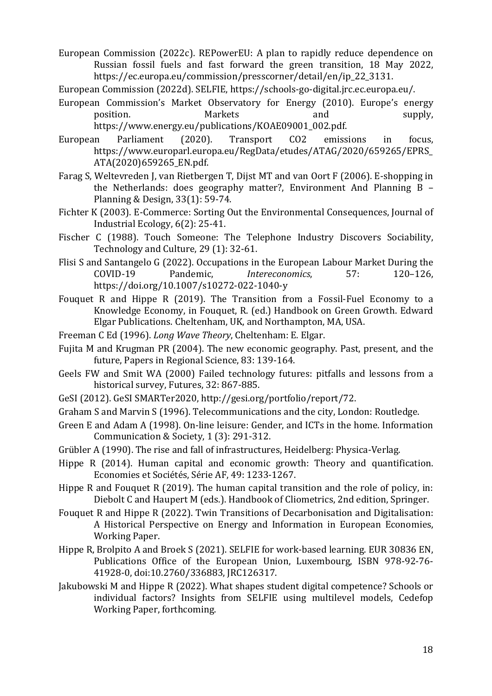- European Commission (2022c). REPowerEU: A plan to rapidly reduce dependence on Russian fossil fuels and fast forward the green transition, 18 May 2022, https://ec.europa.eu/commission/presscorner/detail/en/ip\_22\_3131.
- European Commission (2022d). SELFIE, https://schools-go-digital.jrc.ec.europa.eu/.
- European Commission's Market Observatory for Energy (2010). Europe's energy position. Markets and supply, https://www.energy.eu/publications/KOAE09001\_002.pdf.
- European Parliament (2020). Transport CO2 emissions in focus, https://www.europarl.europa.eu/RegData/etudes/ATAG/2020/659265/EPRS\_ ATA(2020)659265\_EN.pdf.
- Farag S, Weltevreden J, van Rietbergen T, Dijst MT and van Oort F (2006). E-shopping in the Netherlands: does geography matter?, Environment And Planning B – Planning & Design, 33(1): 59-74.
- Fichter K (2003). E-Commerce: Sorting Out the Environmental Consequences, Journal of Industrial Ecology, 6(2): 25-41.
- Fischer C (1988). Touch Someone: The Telephone Industry Discovers Sociability, Technology and Culture, 29 (1): 32-61.
- Flisi S and Santangelo G (2022). Occupations in the European Labour Market During the<br>COVID-19 Pandemic, *Intereconomics*, 57: 120-126, Intereconomics, https://doi.org/10.1007/s10272-022-1040-y
- Fouquet R and Hippe R (2019). The Transition from a Fossil-Fuel Economy to a Knowledge Economy, in Fouquet, R. (ed.) Handbook on Green Growth. Edward Elgar Publications. Cheltenham, UK, and Northampton, MA, USA.
- Freeman C Ed (1996). *Long Wave Theory*, Cheltenham: E. Elgar.
- Fujita M and Krugman PR (2004). The new economic geography. Past, present, and the future, Papers in Regional Science, 83: 139-164.
- Geels FW and Smit WA (2000) Failed technology futures: pitfalls and lessons from a historical survey, Futures, 32: 867-885.
- GeSI (2012). GeSI SMARTer2020, http://gesi.org/portfolio/report/72.
- Graham S and Marvin S (1996). Telecommunications and the city, London: Routledge.
- Green E and Adam A (1998). On-line leisure: Gender, and ICTs in the home. Information Communication & Society, 1 (3): 291-312.
- Grübler A (1990). The rise and fall of infrastructures, Heidelberg: Physica-Verlag.
- Hippe R (2014). Human capital and economic growth: Theory and quantification. Economies et Sociétés, Série AF, 49: 1233-1267.
- Hippe R and Fouquet R (2019). The human capital transition and the role of policy, in: Diebolt C and Haupert M (eds.). Handbook of Cliometrics, 2nd edition, Springer.
- Fouquet R and Hippe R (2022). Twin Transitions of Decarbonisation and Digitalisation: A Historical Perspective on Energy and Information in European Economies, Working Paper.
- Hippe R, Brolpito A and Broek S (2021). SELFIE for work-based learning. EUR 30836 EN, Publications Office of the European Union, Luxembourg, ISBN 978-92-76- 41928-0, doi:10.2760/336883, JRC126317.
- Jakubowski M and Hippe R (2022). What shapes student digital competence? Schools or individual factors? Insights from SELFIE using multilevel models, Cedefop Working Paper, forthcoming.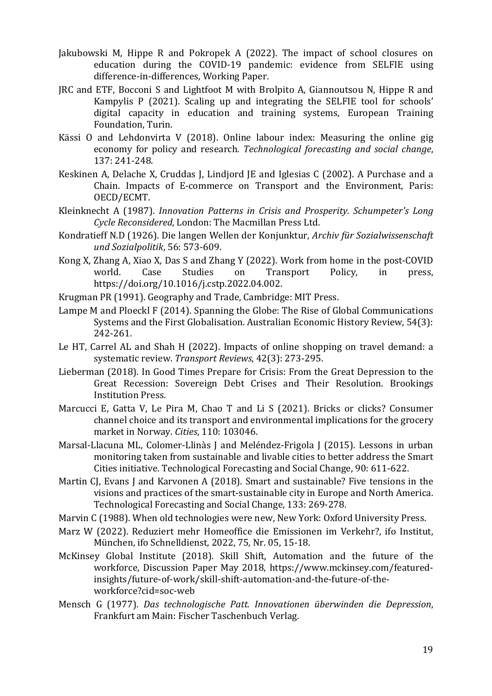- Jakubowski M, Hippe R and Pokropek A (2022). The impact of school closures on education during the COVID-19 pandemic: evidence from SELFIE using difference-in-differences, Working Paper.
- JRC and ETF, Bocconi S and Lightfoot M with Brolpito A, Giannoutsou N, Hippe R and Kampylis P (2021). Scaling up and integrating the SELFIE tool for schools' digital capacity in education and training systems, European Training Foundation, Turin.
- Kässi O and Lehdonvirta V (2018). Online labour index: Measuring the online gig economy for policy and research. *Technological forecasting and social change*, 137: 241-248.
- Keskinen A, Delache X, Cruddas J, Lindjord JE and Iglesias C (2002). A Purchase and a Chain. Impacts of E-commerce on Transport and the Environment, Paris: OECD/ECMT.
- Kleinknecht A (1987). *Innovation Patterns in Crisis and Prosperity. Schumpeter's Long Cycle Reconsidered*, London: The Macmillan Press Ltd.
- Kondratieff N.D (1926). Die langen Wellen der Konjunktur, *Archiv für Sozialwissenschaft und Sozialpolitik*, 56: 573-609.
- Kong X, Zhang A, Xiao X, Das S and Zhang Y (2022). Work from home in the post-COVID world. Case Studies on Transport Policy, in press, world. Case Studies on Transport Policy, in press, https://doi.org/10.1016/j.cstp.2022.04.002.
- Krugman PR (1991). Geography and Trade, Cambridge: MIT Press.
- Lampe M and Ploeckl F (2014). Spanning the Globe: The Rise of Global Communications Systems and the First Globalisation. Australian Economic History Review, 54(3): 242-261.
- Le HT, Carrel AL and Shah H (2022). Impacts of online shopping on travel demand: a systematic review. *Transport Reviews*, 42(3): 273-295.
- Lieberman (2018). In Good Times Prepare for Crisis: From the Great Depression to the Great Recession: Sovereign Debt Crises and Their Resolution. Brookings Institution Press.
- Marcucci E, Gatta V, Le Pira M, Chao T and Li S (2021). Bricks or clicks? Consumer channel choice and its transport and environmental implications for the grocery market in Norway. *Cities*, 110: 103046.
- Marsal-Llacuna ML, Colomer-Llinàs J and Meléndez-Frigola J (2015). Lessons in urban monitoring taken from sustainable and livable cities to better address the Smart Cities initiative. Technological Forecasting and Social Change, 90: 611-622.
- Martin CJ, Evans J and Karvonen A (2018). Smart and sustainable? Five tensions in the visions and practices of the smart-sustainable city in Europe and North America. Technological Forecasting and Social Change, 133: 269-278.
- Marvin C (1988). When old technologies were new, New York: Oxford University Press.
- Marz W (2022). Reduziert mehr Homeoffice die Emissionen im Verkehr?, ifo Institut, München, ifo Schnelldienst, 2022, 75, Nr. 05, 15-18.
- McKinsey Global Institute (2018). Skill Shift, Automation and the future of the workforce, Discussion Paper May 2018, https://www.mckinsey.com/featuredinsights/future-of-work/skill-shift-automation-and-the-future-of-theworkforce?cid=soc-web
- Mensch G (1977). *Das technologische Patt. Innovationen überwinden die Depression*, Frankfurt am Main: Fischer Taschenbuch Verlag.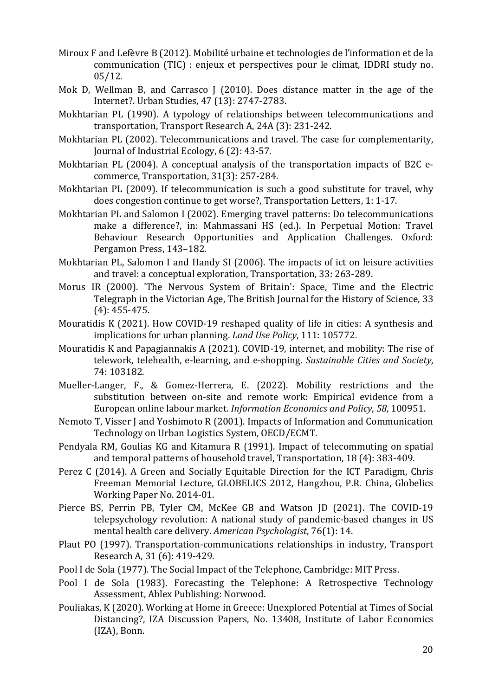- Miroux F and Lefèvre B (2012). Mobilité urbaine et technologies de l'information et de la communication (TIC) : enjeux et perspectives pour le climat, IDDRI study no.  $05/12$ .
- Mok D, Wellman B, and Carrasco J (2010). Does distance matter in the age of the Internet?. Urban Studies, 47 (13): 2747-2783.
- Mokhtarian PL (1990). A typology of relationships between telecommunications and transportation, Transport Research A, 24A (3): 231-242.
- Mokhtarian PL (2002). Telecommunications and travel. The case for complementarity, Journal of Industrial Ecology, 6 (2): 43-57.
- Mokhtarian PL (2004). A conceptual analysis of the transportation impacts of B2C ecommerce, Transportation, 31(3): 257-284.
- Mokhtarian PL (2009). If telecommunication is such a good substitute for travel, why does congestion continue to get worse?, Transportation Letters, 1: 1-17.
- Mokhtarian PL and Salomon I (2002). Emerging travel patterns: Do telecommunications make a difference?, in: Mahmassani HS (ed.). In Perpetual Motion: Travel Behaviour Research Opportunities and Application Challenges. Oxford: Pergamon Press, 143–182.
- Mokhtarian PL, Salomon I and Handy SI (2006). The impacts of ict on leisure activities and travel: a conceptual exploration, Transportation, 33: 263-289.
- Morus IR (2000). 'The Nervous System of Britain': Space, Time and the Electric Telegraph in the Victorian Age, The British Journal for the History of Science, 33 (4): 455-475.
- Mouratidis K (2021). How COVID-19 reshaped quality of life in cities: A synthesis and implications for urban planning. *Land Use Policy*, 111: 105772.
- Mouratidis K and Papagiannakis A (2021). COVID-19, internet, and mobility: The rise of telework, telehealth, e-learning, and e-shopping. *Sustainable Cities and Society*, 74: 103182.
- Mueller-Langer, F., & Gomez-Herrera, E. (2022). Mobility restrictions and the substitution between on-site and remote work: Empirical evidence from a European online labour market. *Information Economics and Policy*, *58*, 100951.
- Nemoto T, Visser J and Yoshimoto R (2001). Impacts of Information and Communication Technology on Urban Logistics System, OECD/ECMT.
- Pendyala RM, Goulias KG and Kitamura R (1991). Impact of telecommuting on spatial and temporal patterns of household travel, Transportation, 18 (4): 383-409.
- Perez C (2014). A Green and Socially Equitable Direction for the ICT Paradigm, Chris Freeman Memorial Lecture, GLOBELICS 2012, Hangzhou, P.R. China, Globelics Working Paper No. 2014-01.
- Pierce BS, Perrin PB, Tyler CM, McKee GB and Watson JD (2021). The COVID-19 telepsychology revolution: A national study of pandemic-based changes in US mental health care delivery. *American Psychologist*, 76(1): 14.
- Plaut PO (1997). Transportation-communications relationships in industry, Transport Research A, 31 (6): 419-429.
- Pool I de Sola (1977). The Social Impact of the Telephone, Cambridge: MIT Press.
- Pool I de Sola (1983). Forecasting the Telephone: A Retrospective Technology Assessment, Ablex Publishing: Norwood.
- Pouliakas, K (2020). Working at Home in Greece: Unexplored Potential at Times of Social Distancing?, IZA Discussion Papers, No. 13408, Institute of Labor Economics (IZA), Bonn.